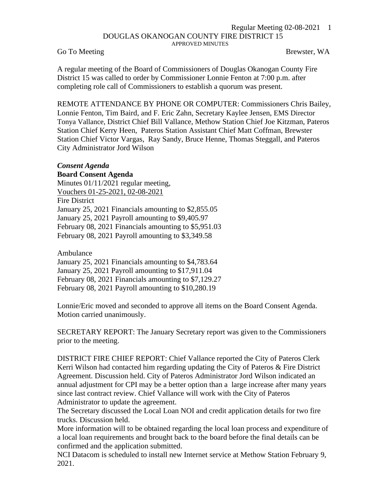## Regular Meeting 02-08-2021 1 DOUGLAS OKANOGAN COUNTY FIRE DISTRICT 15 APPROVED MINUTES

Go To Meeting Brewster, WA

A regular meeting of the Board of Commissioners of Douglas Okanogan County Fire District 15 was called to order by Commissioner Lonnie Fenton at 7:00 p.m. after completing role call of Commissioners to establish a quorum was present.

REMOTE ATTENDANCE BY PHONE OR COMPUTER: Commissioners Chris Bailey, Lonnie Fenton, Tim Baird, and F. Eric Zahn, Secretary Kaylee Jensen, EMS Director Tonya Vallance, District Chief Bill Vallance, Methow Station Chief Joe Kitzman, Pateros Station Chief Kerry Heen, Pateros Station Assistant Chief Matt Coffman, Brewster Station Chief Victor Vargas, Ray Sandy, Bruce Henne, Thomas Steggall, and Pateros City Administrator Jord Wilson

## *Consent Agenda*

## **Board Consent Agenda**

Minutes 01/11/2021 regular meeting, Vouchers 01-25-2021, 02-08-2021 Fire District January 25, 2021 Financials amounting to \$2,855.05 January 25, 2021 Payroll amounting to \$9,405.97 February 08, 2021 Financials amounting to \$5,951.03 February 08, 2021 Payroll amounting to \$3,349.58

Ambulance

January 25, 2021 Financials amounting to \$4,783.64 January 25, 2021 Payroll amounting to \$17,911.04 February 08, 2021 Financials amounting to \$7,129.27 February 08, 2021 Payroll amounting to \$10,280.19

Lonnie/Eric moved and seconded to approve all items on the Board Consent Agenda. Motion carried unanimously.

SECRETARY REPORT: The January Secretary report was given to the Commissioners prior to the meeting.

DISTRICT FIRE CHIEF REPORT: Chief Vallance reported the City of Pateros Clerk Kerri Wilson had contacted him regarding updating the City of Pateros & Fire District Agreement. Discussion held. City of Pateros Administrator Jord Wilson indicated an annual adjustment for CPI may be a better option than a large increase after many years since last contract review. Chief Vallance will work with the City of Pateros Administrator to update the agreement.

The Secretary discussed the Local Loan NOI and credit application details for two fire trucks. Discussion held.

More information will to be obtained regarding the local loan process and expenditure of a local loan requirements and brought back to the board before the final details can be confirmed and the application submitted.

NCI Datacom is scheduled to install new Internet service at Methow Station February 9, 2021.